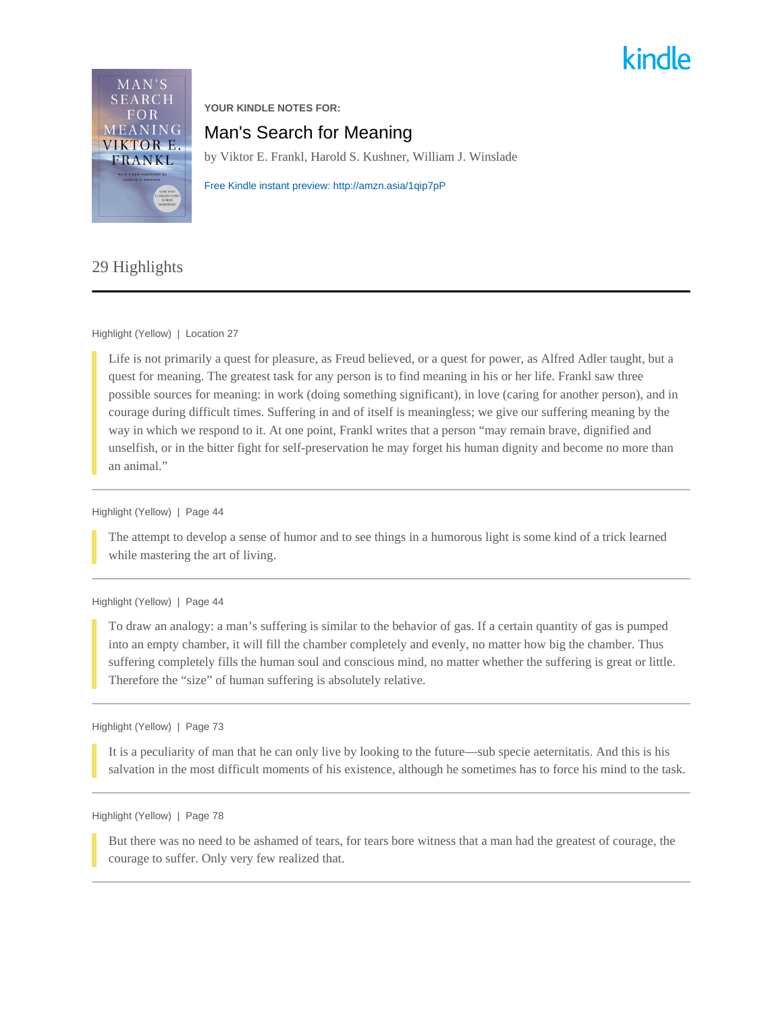

**YOUR KINDLE NOTES FOR:**

### Man's Search for Meaning

by Viktor E. Frankl, Harold S. Kushner, William J. Winslade

[Free Kindle instant preview: http://amzn.asia/1qip7pP](http://amzn.asia/1qip7pP)

### 29 Highlights

#### Highlight (Yellow) | Location 27

Life is not primarily a quest for pleasure, as Freud believed, or a quest for power, as Alfred Adler taught, but a quest for meaning. The greatest task for any person is to find meaning in his or her life. Frankl saw three possible sources for meaning: in work (doing something significant), in love (caring for another person), and in courage during difficult times. Suffering in and of itself is meaningless; we give our suffering meaning by the way in which we respond to it. At one point, Frankl writes that a person "may remain brave, dignified and unselfish, or in the bitter fight for self-preservation he may forget his human dignity and become no more than an animal."

#### Highlight (Yellow) | Page 44

The attempt to develop a sense of humor and to see things in a humorous light is some kind of a trick learned while mastering the art of living.

#### Highlight (Yellow) | Page 44

To draw an analogy: a man's suffering is similar to the behavior of gas. If a certain quantity of gas is pumped into an empty chamber, it will fill the chamber completely and evenly, no matter how big the chamber. Thus suffering completely fills the human soul and conscious mind, no matter whether the suffering is great or little. Therefore the "size" of human suffering is absolutely relative.

#### Highlight (Yellow) | Page 73

It is a peculiarity of man that he can only live by looking to the future—sub specie aeternitatis. And this is his salvation in the most difficult moments of his existence, although he sometimes has to force his mind to the task.

#### Highlight (Yellow) | Page 78

But there was no need to be ashamed of tears, for tears bore witness that a man had the greatest of courage, the courage to suffer. Only very few realized that.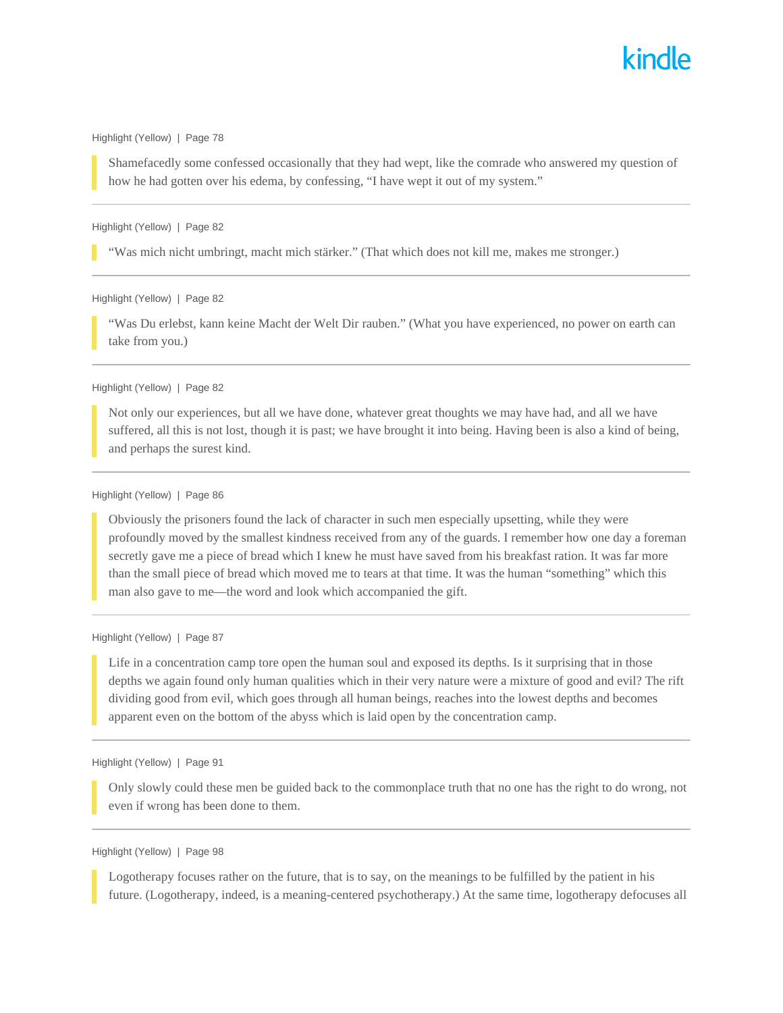#### Highlight (Yellow) | Page 78

Shamefacedly some confessed occasionally that they had wept, like the comrade who answered my question of how he had gotten over his edema, by confessing, "I have wept it out of my system."

#### Highlight (Yellow) | Page 82

"Was mich nicht umbringt, macht mich stärker." (That which does not kill me, makes me stronger.)

#### Highlight (Yellow) | Page 82

"Was Du erlebst, kann keine Macht der Welt Dir rauben." (What you have experienced, no power on earth can take from you.)

#### Highlight (Yellow) | Page 82

Not only our experiences, but all we have done, whatever great thoughts we may have had, and all we have suffered, all this is not lost, though it is past; we have brought it into being. Having been is also a kind of being, and perhaps the surest kind.

#### Highlight (Yellow) | Page 86

Obviously the prisoners found the lack of character in such men especially upsetting, while they were profoundly moved by the smallest kindness received from any of the guards. I remember how one day a foreman secretly gave me a piece of bread which I knew he must have saved from his breakfast ration. It was far more than the small piece of bread which moved me to tears at that time. It was the human "something" which this man also gave to me—the word and look which accompanied the gift.

#### Highlight (Yellow) | Page 87

Life in a concentration camp tore open the human soul and exposed its depths. Is it surprising that in those depths we again found only human qualities which in their very nature were a mixture of good and evil? The rift dividing good from evil, which goes through all human beings, reaches into the lowest depths and becomes apparent even on the bottom of the abyss which is laid open by the concentration camp.

#### Highlight (Yellow) | Page 91

Only slowly could these men be guided back to the commonplace truth that no one has the right to do wrong, not even if wrong has been done to them.

#### Highlight (Yellow) | Page 98

Logotherapy focuses rather on the future, that is to say, on the meanings to be fulfilled by the patient in his future. (Logotherapy, indeed, is a meaning-centered psychotherapy.) At the same time, logotherapy defocuses all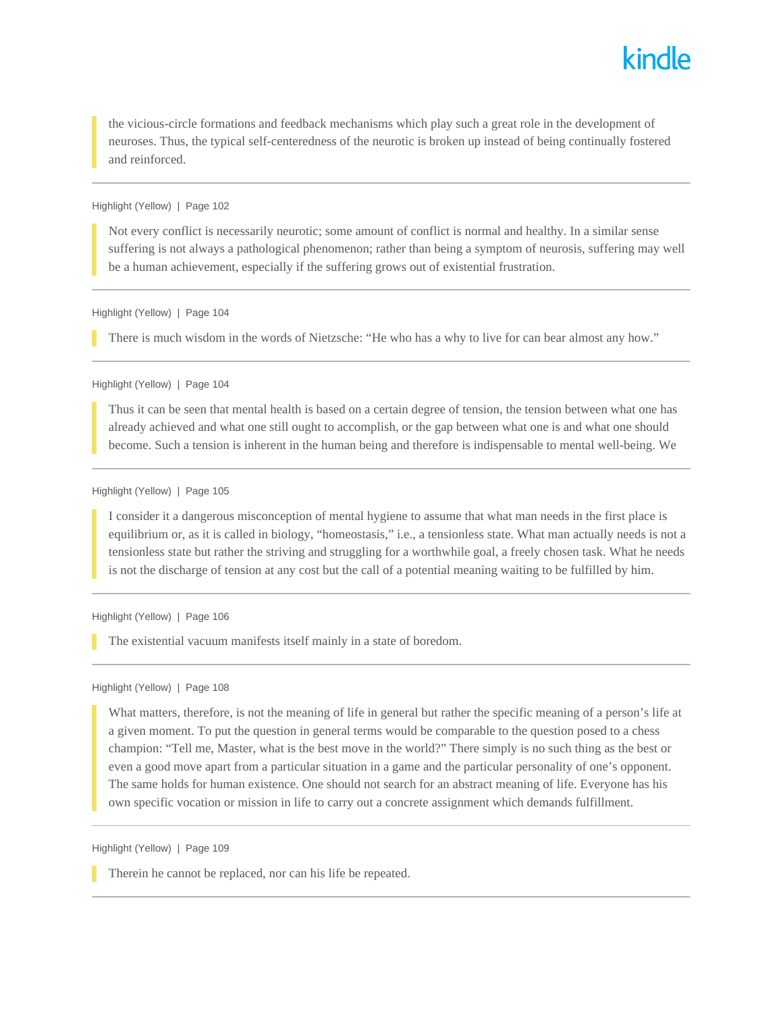the vicious-circle formations and feedback mechanisms which play such a great role in the development of neuroses. Thus, the typical self-centeredness of the neurotic is broken up instead of being continually fostered and reinforced.

Highlight (Yellow) | Page 102

Not every conflict is necessarily neurotic; some amount of conflict is normal and healthy. In a similar sense suffering is not always a pathological phenomenon; rather than being a symptom of neurosis, suffering may well be a human achievement, especially if the suffering grows out of existential frustration.

Highlight (Yellow) | Page 104

There is much wisdom in the words of Nietzsche: "He who has a why to live for can bear almost any how."

Highlight (Yellow) | Page 104

Thus it can be seen that mental health is based on a certain degree of tension, the tension between what one has already achieved and what one still ought to accomplish, or the gap between what one is and what one should become. Such a tension is inherent in the human being and therefore is indispensable to mental well-being. We

Highlight (Yellow) | Page 105

I consider it a dangerous misconception of mental hygiene to assume that what man needs in the first place is equilibrium or, as it is called in biology, "homeostasis," i.e., a tensionless state. What man actually needs is not a tensionless state but rather the striving and struggling for a worthwhile goal, a freely chosen task. What he needs is not the discharge of tension at any cost but the call of a potential meaning waiting to be fulfilled by him.

Highlight (Yellow) | Page 106

The existential vacuum manifests itself mainly in a state of boredom.

Highlight (Yellow) | Page 108

What matters, therefore, is not the meaning of life in general but rather the specific meaning of a person's life at a given moment. To put the question in general terms would be comparable to the question posed to a chess champion: "Tell me, Master, what is the best move in the world?" There simply is no such thing as the best or even a good move apart from a particular situation in a game and the particular personality of one's opponent. The same holds for human existence. One should not search for an abstract meaning of life. Everyone has his own specific vocation or mission in life to carry out a concrete assignment which demands fulfillment.

Highlight (Yellow) | Page 109

Therein he cannot be replaced, nor can his life be repeated.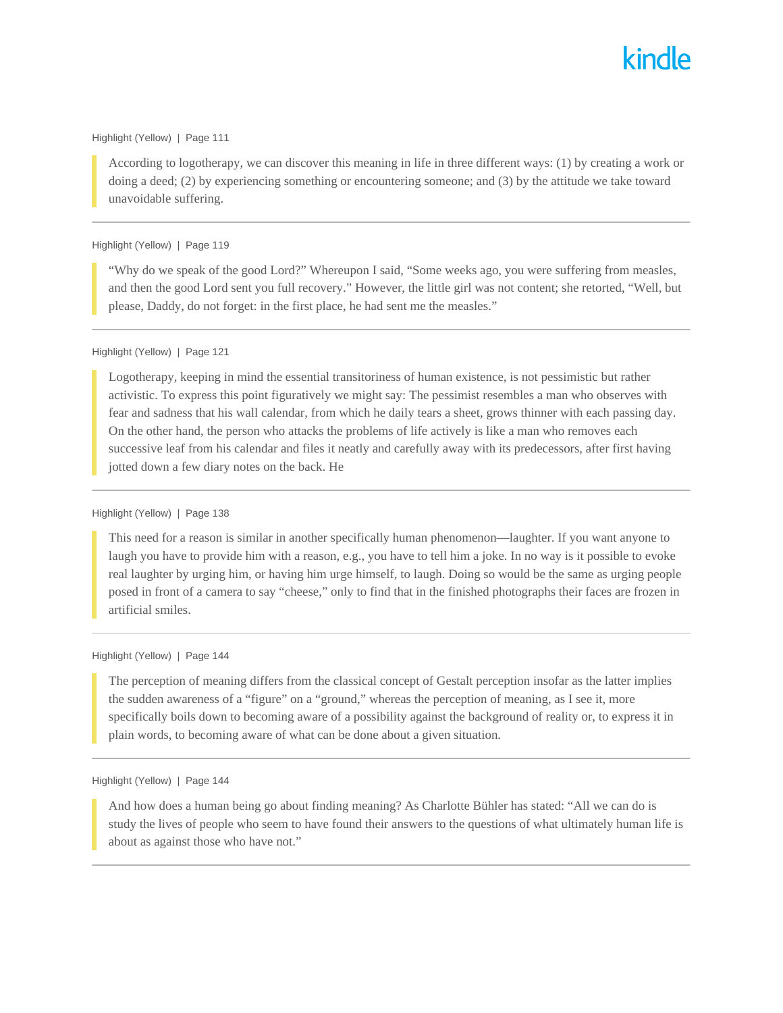#### Highlight (Yellow) | Page 111

According to logotherapy, we can discover this meaning in life in three different ways: (1) by creating a work or doing a deed; (2) by experiencing something or encountering someone; and (3) by the attitude we take toward unavoidable suffering.

#### Highlight (Yellow) | Page 119

"Why do we speak of the good Lord?" Whereupon I said, "Some weeks ago, you were suffering from measles, and then the good Lord sent you full recovery." However, the little girl was not content; she retorted, "Well, but please, Daddy, do not forget: in the first place, he had sent me the measles."

#### Highlight (Yellow) | Page 121

Logotherapy, keeping in mind the essential transitoriness of human existence, is not pessimistic but rather activistic. To express this point figuratively we might say: The pessimist resembles a man who observes with fear and sadness that his wall calendar, from which he daily tears a sheet, grows thinner with each passing day. On the other hand, the person who attacks the problems of life actively is like a man who removes each successive leaf from his calendar and files it neatly and carefully away with its predecessors, after first having jotted down a few diary notes on the back. He

#### Highlight (Yellow) | Page 138

This need for a reason is similar in another specifically human phenomenon—laughter. If you want anyone to laugh you have to provide him with a reason, e.g., you have to tell him a joke. In no way is it possible to evoke real laughter by urging him, or having him urge himself, to laugh. Doing so would be the same as urging people posed in front of a camera to say "cheese," only to find that in the finished photographs their faces are frozen in artificial smiles.

#### Highlight (Yellow) | Page 144

The perception of meaning differs from the classical concept of Gestalt perception insofar as the latter implies the sudden awareness of a "figure" on a "ground," whereas the perception of meaning, as I see it, more specifically boils down to becoming aware of a possibility against the background of reality or, to express it in plain words, to becoming aware of what can be done about a given situation.

#### Highlight (Yellow) | Page 144

And how does a human being go about finding meaning? As Charlotte Bühler has stated: "All we can do is study the lives of people who seem to have found their answers to the questions of what ultimately human life is about as against those who have not."